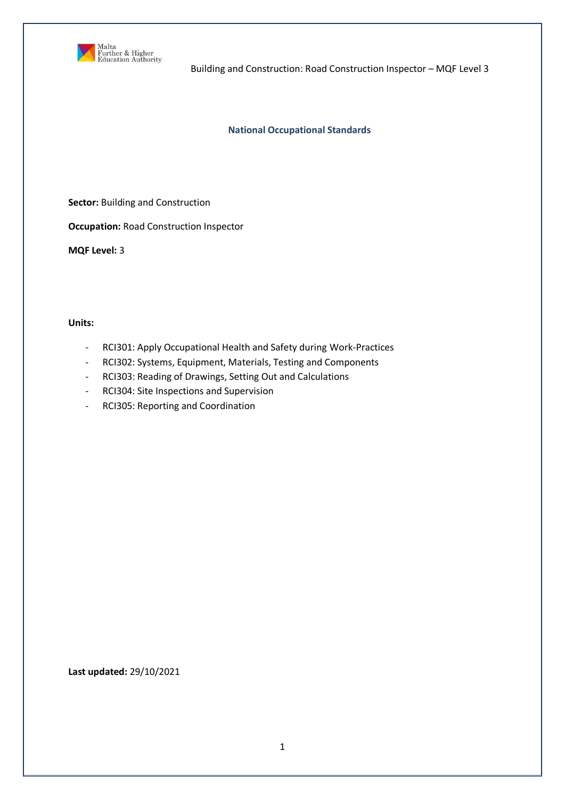

Building and Construction: Road Construction Inspector – MQF Level 3

### **National Occupational Standards**

**Sector:** Building and Construction

**Occupation:** Road Construction Inspector

**MQF Level:** 3

**Units:** 

- RCI301: Apply Occupational Health and Safety during Work-Practices
- RCI302: Systems, Equipment, Materials, Testing and Components
- RCI303: Reading of Drawings, Setting Out and Calculations
- RCI304: Site Inspections and Supervision
- RCI305: Reporting and Coordination

**Last updated:** 29/10/2021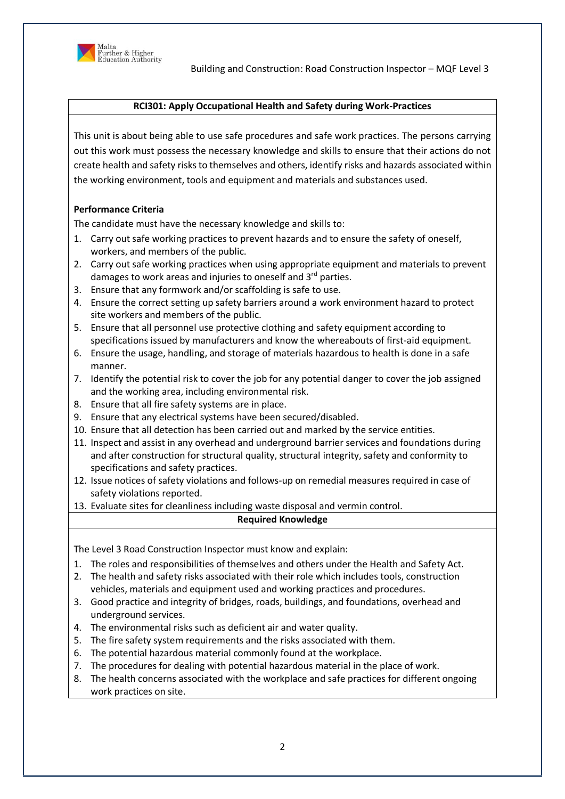

### **RCI301: Apply Occupational Health and Safety during Work-Practices**

This unit is about being able to use safe procedures and safe work practices. The persons carrying out this work must possess the necessary knowledge and skills to ensure that their actions do not create health and safety risks to themselves and others, identify risks and hazards associated within the working environment, tools and equipment and materials and substances used.

# **Performance Criteria**

The candidate must have the necessary knowledge and skills to:

- 1. Carry out safe working practices to prevent hazards and to ensure the safety of oneself, workers, and members of the public.
- 2. Carry out safe working practices when using appropriate equipment and materials to prevent damages to work areas and injuries to oneself and  $3<sup>rd</sup>$  parties.
- 3. Ensure that any formwork and/or scaffolding is safe to use.
- 4. Ensure the correct setting up safety barriers around a work environment hazard to protect site workers and members of the public.
- 5. Ensure that all personnel use protective clothing and safety equipment according to specifications issued by manufacturers and know the whereabouts of first-aid equipment.
- 6. Ensure the usage, handling, and storage of materials hazardous to health is done in a safe manner.
- 7. Identify the potential risk to cover the job for any potential danger to cover the job assigned and the working area, including environmental risk.
- 8. Ensure that all fire safety systems are in place.
- 9. Ensure that any electrical systems have been secured/disabled.
- 10. Ensure that all detection has been carried out and marked by the service entities.
- 11. Inspect and assist in any overhead and underground barrier services and foundations during and after construction for structural quality, structural integrity, safety and conformity to specifications and safety practices.
- 12. Issue notices of safety violations and follows-up on remedial measures required in case of safety violations reported.
- 13. Evaluate sites for cleanliness including waste disposal and vermin control.

#### **Required Knowledge**

The Level 3 Road Construction Inspector must know and explain:

- 1. The roles and responsibilities of themselves and others under the Health and Safety Act.
- 2. The health and safety risks associated with their role which includes tools, construction vehicles, materials and equipment used and working practices and procedures.
- 3. Good practice and integrity of bridges, roads, buildings, and foundations, overhead and underground services.
- 4. The environmental risks such as deficient air and water quality.
- 5. The fire safety system requirements and the risks associated with them.
- 6. The potential hazardous material commonly found at the workplace.
- 7. The procedures for dealing with potential hazardous material in the place of work.
- 8. The health concerns associated with the workplace and safe practices for different ongoing work practices on site.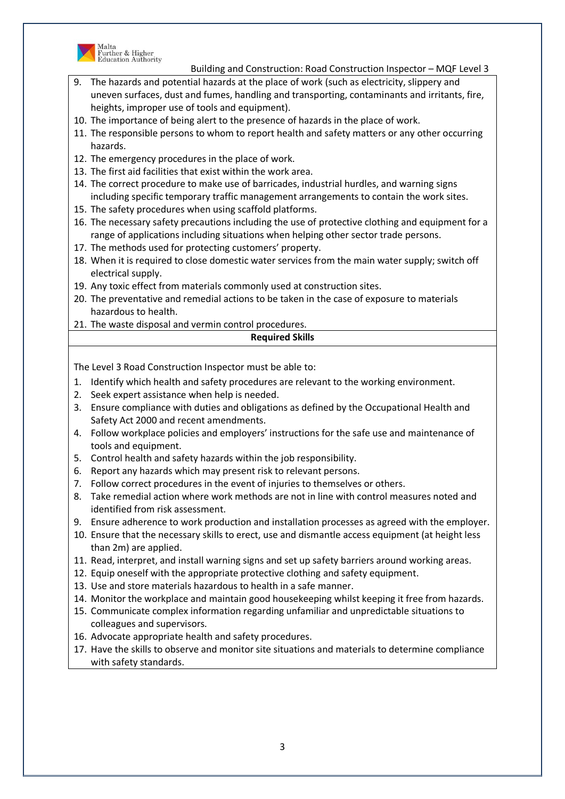

Malta<br>Further & Higher<br>Education Authority

Building and Construction: Road Construction Inspector – MQF Level 3

- 9. The hazards and potential hazards at the place of work (such as electricity, slippery and uneven surfaces, dust and fumes, handling and transporting, contaminants and irritants, fire, heights, improper use of tools and equipment).
- 10. The importance of being alert to the presence of hazards in the place of work.
- 11. The responsible persons to whom to report health and safety matters or any other occurring hazards.
- 12. The emergency procedures in the place of work.
- 13. The first aid facilities that exist within the work area.
- 14. The correct procedure to make use of barricades, industrial hurdles, and warning signs including specific temporary traffic management arrangements to contain the work sites.
- 15. The safety procedures when using scaffold platforms.
- 16. The necessary safety precautions including the use of protective clothing and equipment for a range of applications including situations when helping other sector trade persons.
- 17. The methods used for protecting customers' property.
- 18. When it is required to close domestic water services from the main water supply; switch off electrical supply.
- 19. Any toxic effect from materials commonly used at construction sites.
- 20. The preventative and remedial actions to be taken in the case of exposure to materials hazardous to health.
- 21. The waste disposal and vermin control procedures.

# **Required Skills**

- 1. Identify which health and safety procedures are relevant to the working environment.
- 2. Seek expert assistance when help is needed.
- 3. Ensure compliance with duties and obligations as defined by the Occupational Health and Safety Act 2000 and recent amendments.
- 4. Follow workplace policies and employers' instructions for the safe use and maintenance of tools and equipment.
- 5. Control health and safety hazards within the job responsibility.
- 6. Report any hazards which may present risk to relevant persons.
- 7. Follow correct procedures in the event of injuries to themselves or others.
- 8. Take remedial action where work methods are not in line with control measures noted and identified from risk assessment.
- 9. Ensure adherence to work production and installation processes as agreed with the employer.
- 10. Ensure that the necessary skills to erect, use and dismantle access equipment (at height less than 2m) are applied.
- 11. Read, interpret, and install warning signs and set up safety barriers around working areas.
- 12. Equip oneself with the appropriate protective clothing and safety equipment.
- 13. Use and store materials hazardous to health in a safe manner.
- 14. Monitor the workplace and maintain good housekeeping whilst keeping it free from hazards.
- 15. Communicate complex information regarding unfamiliar and unpredictable situations to colleagues and supervisors.
- 16. Advocate appropriate health and safety procedures.
- 17. Have the skills to observe and monitor site situations and materials to determine compliance with safety standards.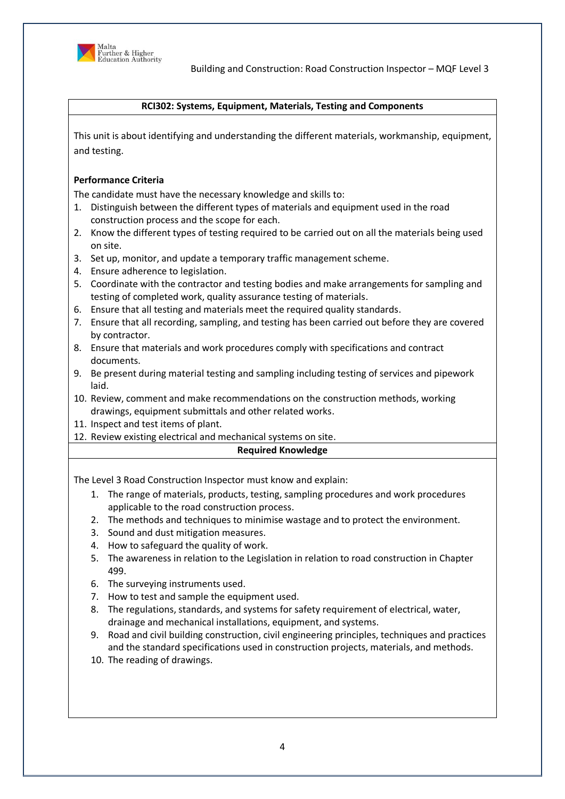

### **RCI302: Systems, Equipment, Materials, Testing and Components**

This unit is about identifying and understanding the different materials, workmanship, equipment, and testing.

# **Performance Criteria**

The candidate must have the necessary knowledge and skills to:

- 1. Distinguish between the different types of materials and equipment used in the road construction process and the scope for each.
- 2. Know the different types of testing required to be carried out on all the materials being used on site.
- 3. Set up, monitor, and update a temporary traffic management scheme.
- 4. Ensure adherence to legislation.
- 5. Coordinate with the contractor and testing bodies and make arrangements for sampling and testing of completed work, quality assurance testing of materials.
- 6. Ensure that all testing and materials meet the required quality standards.
- 7. Ensure that all recording, sampling, and testing has been carried out before they are covered by contractor.
- 8. Ensure that materials and work procedures comply with specifications and contract documents.
- 9. Be present during material testing and sampling including testing of services and pipework laid.
- 10. Review, comment and make recommendations on the construction methods, working drawings, equipment submittals and other related works.
- 11. Inspect and test items of plant.
- 12. Review existing electrical and mechanical systems on site.

# **Required Knowledge**

The Level 3 Road Construction Inspector must know and explain:

- 1. The range of materials, products, testing, sampling procedures and work procedures applicable to the road construction process.
- 2. The methods and techniques to minimise wastage and to protect the environment.
- 3. Sound and dust mitigation measures.
- 4. How to safeguard the quality of work.
- 5. The awareness in relation to the Legislation in relation to road construction in Chapter 499.
- 6. The surveying instruments used.
- 7. How to test and sample the equipment used.
- 8. The regulations, standards, and systems for safety requirement of electrical, water, drainage and mechanical installations, equipment, and systems.
- 9. Road and civil building construction, civil engineering principles, techniques and practices and the standard specifications used in construction projects, materials, and methods.
- 10. The reading of drawings.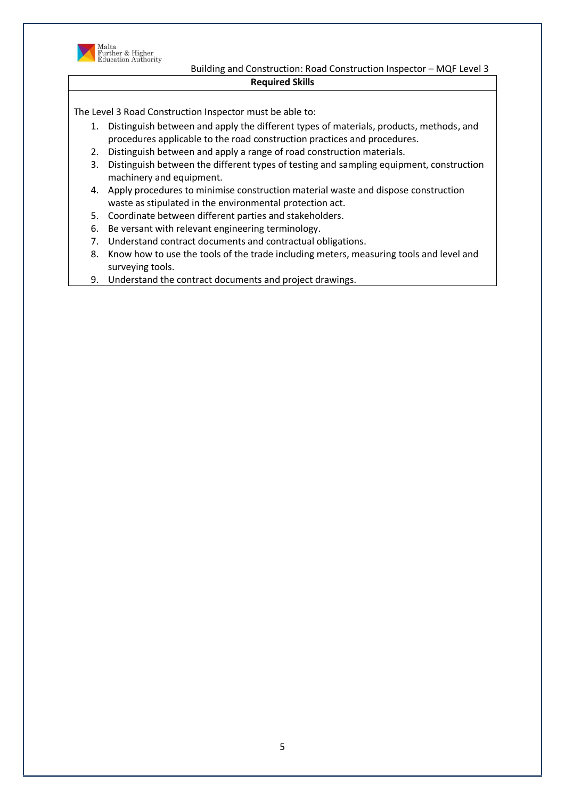

 Building and Construction: Road Construction Inspector – MQF Level 3 **Required Skills**

- 1. Distinguish between and apply the different types of materials, products, methods, and procedures applicable to the road construction practices and procedures.
- 2. Distinguish between and apply a range of road construction materials.
- 3. Distinguish between the different types of testing and sampling equipment, construction machinery and equipment.
- 4. Apply procedures to minimise construction material waste and dispose construction waste as stipulated in the environmental protection act.
- 5. Coordinate between different parties and stakeholders.
- 6. Be versant with relevant engineering terminology.
- 7. Understand contract documents and contractual obligations.
- 8. Know how to use the tools of the trade including meters, measuring tools and level and surveying tools.
- 9. Understand the contract documents and project drawings.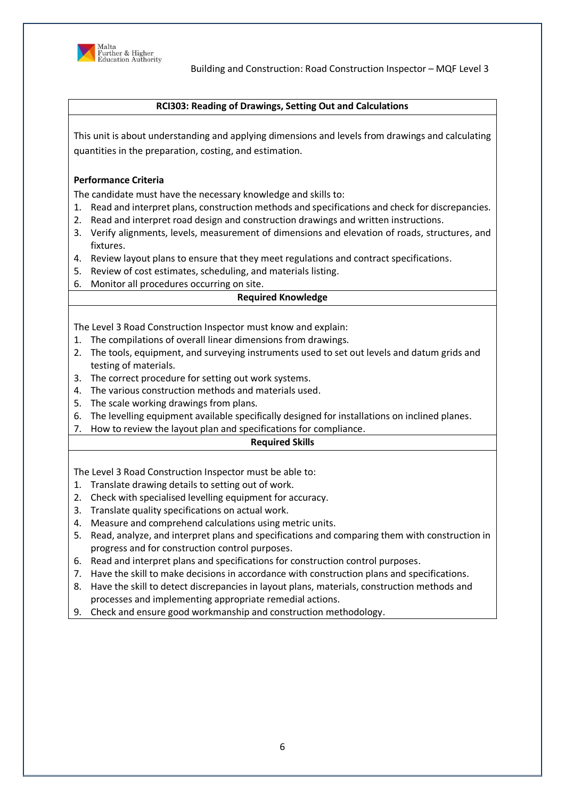

### **RCI303: Reading of Drawings, Setting Out and Calculations**

This unit is about understanding and applying dimensions and levels from drawings and calculating quantities in the preparation, costing, and estimation.

### **Performance Criteria**

The candidate must have the necessary knowledge and skills to:

- 1. Read and interpret plans, construction methods and specifications and check for discrepancies.
- 2. Read and interpret road design and construction drawings and written instructions.
- 3. Verify alignments, levels, measurement of dimensions and elevation of roads, structures, and fixtures.
- 4. Review layout plans to ensure that they meet regulations and contract specifications.
- 5. Review of cost estimates, scheduling, and materials listing.
- 6. Monitor all procedures occurring on site.

#### **Required Knowledge**

The Level 3 Road Construction Inspector must know and explain:

- 1. The compilations of overall linear dimensions from drawings.
- 2. The tools, equipment, and surveying instruments used to set out levels and datum grids and testing of materials.
- 3. The correct procedure for setting out work systems.
- 4. The various construction methods and materials used.
- 5. The scale working drawings from plans.
- 6. The levelling equipment available specifically designed for installations on inclined planes.
- 7. How to review the layout plan and specifications for compliance.

# **Required Skills**

- 1. Translate drawing details to setting out of work.
- 2. Check with specialised levelling equipment for accuracy.
- 3. Translate quality specifications on actual work.
- 4. Measure and comprehend calculations using metric units.
- 5. Read, analyze, and interpret plans and specifications and comparing them with construction in progress and for construction control purposes.
- 6. Read and interpret plans and specifications for construction control purposes.
- 7. Have the skill to make decisions in accordance with construction plans and specifications.
- 8. Have the skill to detect discrepancies in layout plans, materials, construction methods and processes and implementing appropriate remedial actions.
- 9. Check and ensure good workmanship and construction methodology.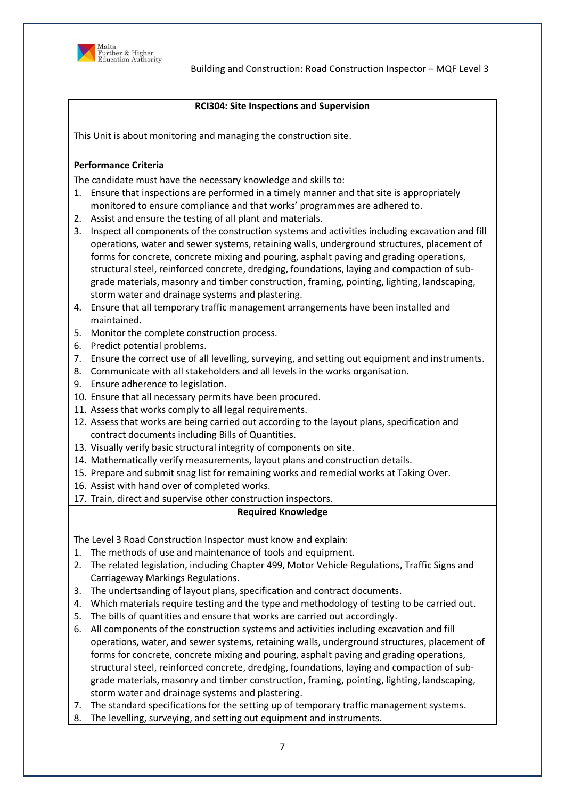

### **RCI304: Site Inspections and Supervision**

This Unit is about monitoring and managing the construction site.

# **Performance Criteria**

The candidate must have the necessary knowledge and skills to:

- 1. Ensure that inspections are performed in a timely manner and that site is appropriately monitored to ensure compliance and that works' programmes are adhered to.
- 2. Assist and ensure the testing of all plant and materials.
- 3. Inspect all components of the construction systems and activities including excavation and fill operations, water and sewer systems, retaining walls, underground structures, placement of forms for concrete, concrete mixing and pouring, asphalt paving and grading operations, structural steel, reinforced concrete, dredging, foundations, laying and compaction of subgrade materials, masonry and timber construction, framing, pointing, lighting, landscaping, storm water and drainage systems and plastering.
- 4. Ensure that all temporary traffic management arrangements have been installed and maintained.
- 5. Monitor the complete construction process.
- 6. Predict potential problems.
- 7. Ensure the correct use of all levelling, surveying, and setting out equipment and instruments.
- 8. Communicate with all stakeholders and all levels in the works organisation.
- 9. Ensure adherence to legislation.
- 10. Ensure that all necessary permits have been procured.
- 11. Assess that works comply to all legal requirements.
- 12. Assess that works are being carried out according to the layout plans, specification and contract documents including Bills of Quantities.
- 13. Visually verify basic structural integrity of components on site.
- 14. Mathematically verify measurements, layout plans and construction details.
- 15. Prepare and submit snag list for remaining works and remedial works at Taking Over.
- 16. Assist with hand over of completed works.
- 17. Train, direct and supervise other construction inspectors.

# **Required Knowledge**

The Level 3 Road Construction Inspector must know and explain:

- 1. The methods of use and maintenance of tools and equipment.
- 2. The related legislation, including Chapter 499, Motor Vehicle Regulations, Traffic Signs and Carriageway Markings Regulations.
- 3. The undertsanding of layout plans, specification and contract documents.
- 4. Which materials require testing and the type and methodology of testing to be carried out.
- 5. The bills of quantities and ensure that works are carried out accordingly.
- 6. All components of the construction systems and activities including excavation and fill operations, water, and sewer systems, retaining walls, underground structures, placement of forms for concrete, concrete mixing and pouring, asphalt paving and grading operations, structural steel, reinforced concrete, dredging, foundations, laying and compaction of subgrade materials, masonry and timber construction, framing, pointing, lighting, landscaping, storm water and drainage systems and plastering.
- 7. The standard specifications for the setting up of temporary traffic management systems.
- The levelling, surveying, and setting out equipment and instruments.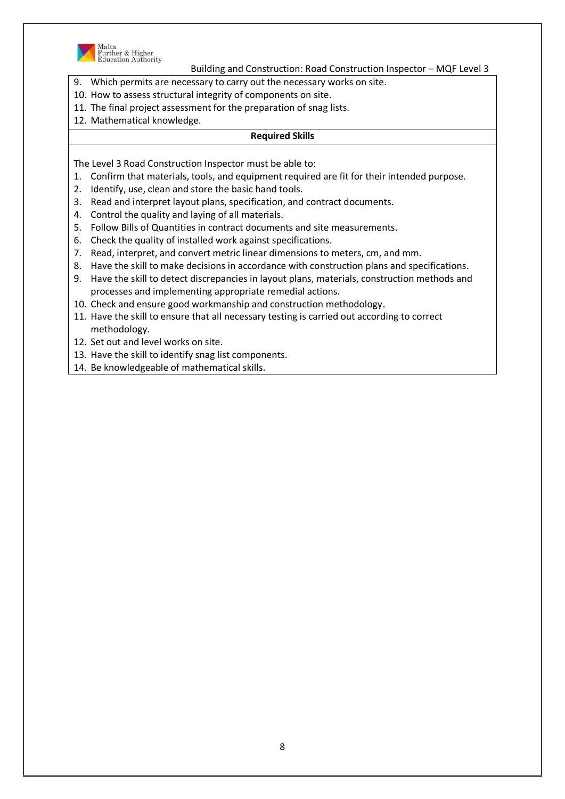

Malta<br>Further & Higher<br>Education Authority

Building and Construction: Road Construction Inspector – MQF Level 3

- 9. Which permits are necessary to carry out the necessary works on site.
- 10. How to assess structural integrity of components on site.
- 11. The final project assessment for the preparation of snag lists.
- 12. Mathematical knowledge.

### **Required Skills**

- 1. Confirm that materials, tools, and equipment required are fit for their intended purpose.
- 2. Identify, use, clean and store the basic hand tools.
- 3. Read and interpret layout plans, specification, and contract documents.
- 4. Control the quality and laying of all materials.
- 5. Follow Bills of Quantities in contract documents and site measurements.
- 6. Check the quality of installed work against specifications.
- 7. Read, interpret, and convert metric linear dimensions to meters, cm, and mm.
- 8. Have the skill to make decisions in accordance with construction plans and specifications.
- 9. Have the skill to detect discrepancies in layout plans, materials, construction methods and processes and implementing appropriate remedial actions.
- 10. Check and ensure good workmanship and construction methodology.
- 11. Have the skill to ensure that all necessary testing is carried out according to correct methodology.
- 12. Set out and level works on site.
- 13. Have the skill to identify snag list components.
- 14. Be knowledgeable of mathematical skills.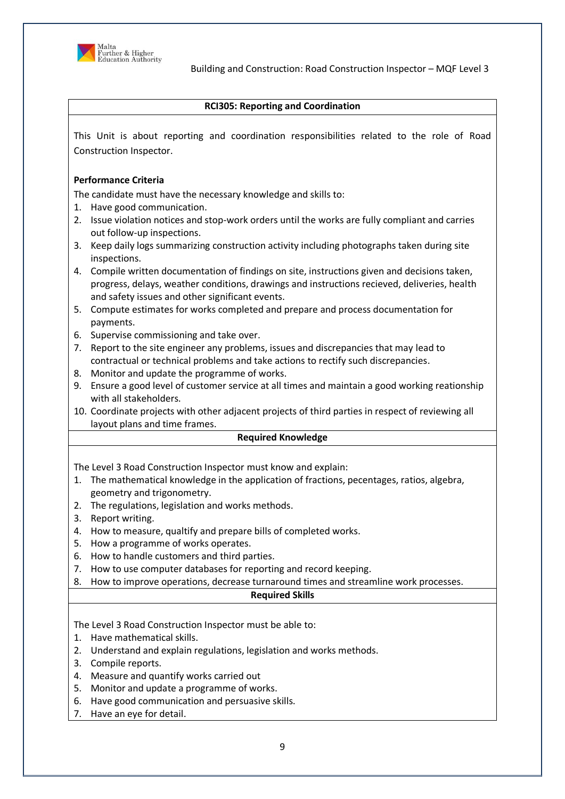

### **RCI305: Reporting and Coordination**

This Unit is about reporting and coordination responsibilities related to the role of Road Construction Inspector.

# **Performance Criteria**

The candidate must have the necessary knowledge and skills to:

- 1. Have good communication.
- 2. Issue violation notices and stop-work orders until the works are fully compliant and carries out follow-up inspections.
- 3. Keep daily logs summarizing construction activity including photographs taken during site inspections.
- 4. Compile written documentation of findings on site, instructions given and decisions taken, progress, delays, weather conditions, drawings and instructions recieved, deliveries, health and safety issues and other significant events.
- 5. Compute estimates for works completed and prepare and process documentation for payments.
- 6. Supervise commissioning and take over.
- 7. Report to the site engineer any problems, issues and discrepancies that may lead to contractual or technical problems and take actions to rectify such discrepancies.
- 8. Monitor and update the programme of works.
- 9. Ensure a good level of customer service at all times and maintain a good working reationship with all stakeholders.
- 10. Coordinate projects with other adjacent projects of third parties in respect of reviewing all layout plans and time frames.

#### **Required Knowledge**

The Level 3 Road Construction Inspector must know and explain:

- 1. The mathematical knowledge in the application of fractions, pecentages, ratios, algebra, geometry and trigonometry.
- 2. The regulations, legislation and works methods.
- 3. Report writing.
- 4. How to measure, qualtify and prepare bills of completed works.
- 5. How a programme of works operates.
- 6. How to handle customers and third parties.
- 7. How to use computer databases for reporting and record keeping.
- 8. How to improve operations, decrease turnaround times and streamline work processes.

#### **Required Skills**

- 1. Have mathematical skills.
- 2. Understand and explain regulations, legislation and works methods.
- 3. Compile reports.
- 4. Measure and quantify works carried out
- 5. Monitor and update a programme of works.
- 6. Have good communication and persuasive skills.
- 7. Have an eye for detail.